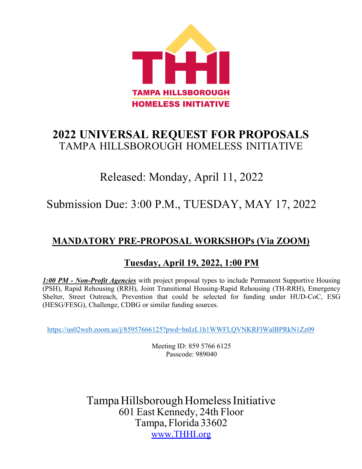

# **2022 UNIVERSAL REQUEST FOR PROPOSALS** TAMPA HILLSBOROUGH HOMELESS INITIATIVE

# Released: Monday, April 11, 2022

# Submission Due: 3:00 P.M., TUESDAY, MAY 17, 2022

# **MANDATORY PRE-PROPOSAL WORKSHOPs (Via ZOOM)**

# **Tuesday, April 19, 2022, 1:00 PM**

*1:00 PM - Non-Profit Agencies* with project proposal types to include Permanent Supportive Housing (PSH), Rapid Rehousing (RRH), Joint Transitional Housing-Rapid Rehousing (TH-RRH), Emergency Shelter, Street Outreach, Prevention that could be selected for funding under HUD-CoC, ESG (HESG/FESG), Challenge, CDBG or similar funding sources.

https://us02web.zoom.us/j/85957666125?pwd=bnIzL1h1WWFLQVNKRFlWalBPRkN1Zz09

Meeting ID: 859 5766 6125 Passcode: 989040

Tampa Hillsborough Homeless Initiative 601 East Kennedy, 24th Floor Tampa, Florida 33602 www.THHI.org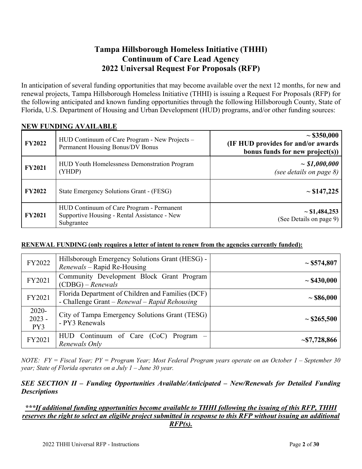#### **Tampa Hillsborough Homeless Initiative (THHI) Continuum of Care Lead Agency 2022 Universal Request For Proposals (RFP)**

In anticipation of several funding opportunities that may become available over the next 12 months, for new and renewal projects, Tampa Hillsborough Homeless Initiative (THHI) is issuing a Request For Proposals (RFP) for the following anticipated and known funding opportunities through the following Hillsborough County, State of Florida, U.S. Department of Housing and Urban Development (HUD) programs, and/or other funding sources:

| <b>FY2022</b> | HUD Continuum of Care Program - New Projects -<br>Permanent Housing Bonus/DV Bonus                      | $\sim$ \$350,000<br><b>(IF HUD provides for and/or awards)</b><br>bonus funds for new project(s)) |
|---------------|---------------------------------------------------------------------------------------------------------|---------------------------------------------------------------------------------------------------|
| <b>FY2021</b> | <b>HUD Youth Homelessness Demonstration Program</b><br>(YHDP)                                           | $\sim $1,000,000$<br>(see details on page $8$ )                                                   |
| <b>FY2022</b> | State Emergency Solutions Grant - (FESG)                                                                | $\sim$ \$147,225                                                                                  |
| <b>FY2021</b> | HUD Continuum of Care Program - Permanent<br>Supportive Housing - Rental Assistance - New<br>Subgrantee | $\sim$ \$1,484,253<br>(See Details on page 9)                                                     |

#### **NEW FUNDING AVAILABLE**

#### **RENEWAL FUNDING (only requires a letter of intent to renew from the agencies currently funded):**

| FY2022                      | Hillsborough Emergency Solutions Grant (HESG) -<br>Renewals – Rapid Re-Housing                     | $\sim$ \$574,807   |
|-----------------------------|----------------------------------------------------------------------------------------------------|--------------------|
| FY2021                      | Community Development Block Grant Program<br>$(CDBG) - Renewals$                                   | $\sim$ \$430,000   |
| FY2021                      | Florida Department of Children and Families (DCF)<br>- Challenge Grant – Renewal – Rapid Rehousing | $\sim$ \$86,000    |
| $2020 -$<br>$2023 -$<br>PY3 | City of Tampa Emergency Solutions Grant (TESG)<br>- PY3 Renewals                                   | $\sim$ \$265,500   |
| FY2021                      | $HUD$ Continuum of Care (CoC) Program –<br>Renewals Only                                           | $\sim$ \$7,728,866 |

*NOTE: FY = Fiscal Year; PY = Program Year; Most Federal Program years operate on an October 1 – September 30 year; State of Florida operates on a July 1 – June 30 year.* 

#### *SEE SECTION II – Funding Opportunities Available/Anticipated – New/Renewals for Detailed Funding Descriptions*

#### *\*\*\*If additional funding opportunities become available to THHI following the issuing of this RFP, THHI reserves the right to select an eligible project submitted in response to this RFP without issuing an additional RFP(s).*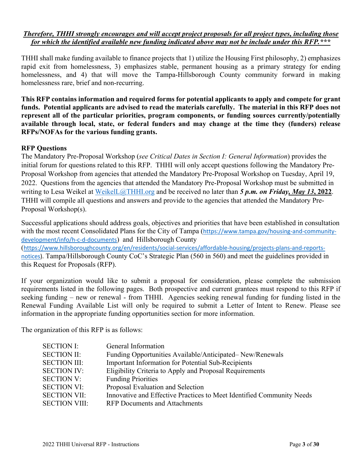#### *Therefore, THHI strongly encourages and will accept project proposals for all project types, including those for which the identified available new funding indicated above may not be include under this RFP.\*\*\**

THHI shall make funding available to finance projects that 1) utilize the Housing First philosophy, 2) emphasizes rapid exit from homelessness, 3) emphasizes stable, permanent housing as a primary strategy for ending homelessness, and 4) that will move the Tampa-Hillsborough County community forward in making homelessness rare, brief and non-recurring.

**This RFP contains information and required forms for potential applicants to apply and compete for grant funds. Potential applicants are advised to read the materials carefully. The material in this RFP does not represent all of the particular priorities, program components, or funding sources currently/potentially available through local, state, or federal funders and may change at the time they (funders) release RFPs/NOFAs for the various funding grants.** 

#### **RFP Questions**

The Mandatory Pre-Proposal Workshop (*see Critical Dates in Section I: General Information*) provides the initial forum for questions related to this RFP. THHI will only accept questions following the Mandatory Pre-Proposal Workshop from agencies that attended the Mandatory Pre-Proposal Workshop on Tuesday, April 19, 2022. Questions from the agencies that attended the Mandatory Pre-Proposal Workshop must be submitted in writing to Lesa Weikel at WeikelL@THHI.org and be received no later than *5 p.m. on Friday, May 13***, 2022**. THHI will compile all questions and answers and provide to the agencies that attended the Mandatory Pre-Proposal Workshop(s).

Successful applications should address goals, objectives and priorities that have been established in consultation with the most recent Consolidated Plans for the City of Tampa (https://www.tampa.gov/housing-and-communitydevelopment/info/h-c-d-documents) and Hillsborough County

(https://www.hillsboroughcounty.org/en/residents/social‐services/affordable‐housing/projects‐plans‐and‐reports‐ notices). Tampa/Hillsborough County CoC's Strategic Plan (560 in 560) and meet the guidelines provided in this Request for Proposals (RFP).

If your organization would like to submit a proposal for consideration, please complete the submission requirements listed in the following pages. Both prospective and current grantees must respond to this RFP if seeking funding – new or renewal - from THHI. Agencies seeking renewal funding for funding listed in the Renewal Funding Available List will only be required to submit a Letter of Intent to Renew. Please see information in the appropriate funding opportunities section for more information.

The organization of this RFP is as follows:

| <b>SECTION I:</b>    | General Information                                                   |
|----------------------|-----------------------------------------------------------------------|
| <b>SECTION II:</b>   | Funding Opportunities Available/Anticipated–New/Renewals              |
| <b>SECTION III:</b>  | Important Information for Potential Sub-Recipients                    |
| <b>SECTION IV:</b>   | Eligibility Criteria to Apply and Proposal Requirements               |
| <b>SECTION V:</b>    | <b>Funding Priorities</b>                                             |
| <b>SECTION VI:</b>   | Proposal Evaluation and Selection                                     |
| <b>SECTION VII:</b>  | Innovative and Effective Practices to Meet Identified Community Needs |
| <b>SECTION VIII:</b> | <b>RFP Documents and Attachments</b>                                  |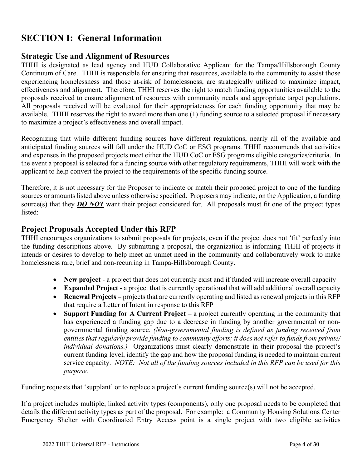# **SECTION I: General Information**

#### **Strategic Use and Alignment of Resources**

THHI is designated as lead agency and HUD Collaborative Applicant for the Tampa/Hillsborough County Continuum of Care. THHI is responsible for ensuring that resources, available to the community to assist those experiencing homelessness and those at-risk of homelessness, are strategically utilized to maximize impact, effectiveness and alignment. Therefore, THHI reserves the right to match funding opportunities available to the proposals received to ensure alignment of resources with community needs and appropriate target populations. All proposals received will be evaluated for their appropriateness for each funding opportunity that may be available. THHI reserves the right to award more than one (1) funding source to a selected proposal if necessary to maximize a project's effectiveness and overall impact.

Recognizing that while different funding sources have different regulations, nearly all of the available and anticipated funding sources will fall under the HUD CoC or ESG programs. THHI recommends that activities and expenses in the proposed projects meet either the HUD CoC or ESG programs eligible categories/criteria. In the event a proposal is selected for a funding source with other regulatory requirements, THHI will work with the applicant to help convert the project to the requirements of the specific funding source.

Therefore, it is not necessary for the Proposer to indicate or match their proposed project to one of the funding sources or amounts listed above unless otherwise specified. Proposers may indicate, on the Application, a funding source(s) that they *DO NOT* want their project considered for. All proposals must fit one of the project types listed:

#### **Project Proposals Accepted Under this RFP**

THHI encourages organizations to submit proposals for projects, even if the project does not 'fit' perfectly into the funding descriptions above. By submitting a proposal, the organization is informing THHI of projects it intends or desires to develop to help meet an unmet need in the community and collaboratively work to make homelessness rare, brief and non-recurring in Tampa-Hillsborough County.

- New project a project that does not currently exist and if funded will increase overall capacity
- **Expanded Project** a project that is currently operational that will add additional overall capacity
- **Renewal Projects** projects that are currently operating and listed as renewal projects in this RFP that require a Letter of Intent in response to this RFP
- **Support Funding for A Current Project** a project currently operating in the community that has experienced a funding gap due to a decrease in funding by another governmental or nongovernmental funding source. *(Non-governmental funding is defined as funding received from entities that regularly provide funding to community efforts; it does not refer to funds from private/ individual donations.)* Organizations must clearly demonstrate in their proposal the project's current funding level, identify the gap and how the proposal funding is needed to maintain current service capacity. *NOTE: Not all of the funding sources included in this RFP can be used for this purpose.*

Funding requests that 'supplant' or to replace a project's current funding source(s) will not be accepted.

If a project includes multiple, linked activity types (components), only one proposal needs to be completed that details the different activity types as part of the proposal. For example: a Community Housing Solutions Center Emergency Shelter with Coordinated Entry Access point is a single project with two eligible activities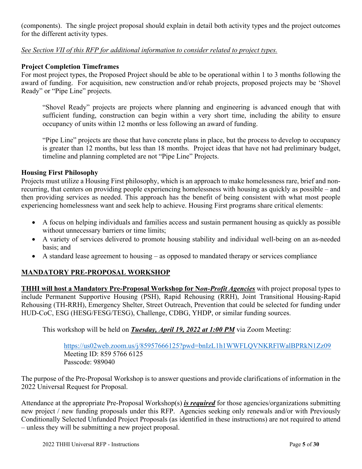(components). The single project proposal should explain in detail both activity types and the project outcomes for the different activity types.

#### *See Section VII of this RFP for additional information to consider related to project types.*

#### **Project Completion Timeframes**

For most project types, the Proposed Project should be able to be operational within 1 to 3 months following the award of funding. For acquisition, new construction and/or rehab projects, proposed projects may be 'Shovel Ready" or "Pipe Line" projects.

"Shovel Ready" projects are projects where planning and engineering is advanced enough that with sufficient funding, construction can begin within a very short time, including the ability to ensure occupancy of units within 12 months or less following an award of funding.

"Pipe Line" projects are those that have concrete plans in place, but the process to develop to occupancy is greater than 12 months, but less than 18 months. Project ideas that have not had preliminary budget, timeline and planning completed are not "Pipe Line" Projects.

#### **Housing First Philosophy**

Projects must utilize a Housing First philosophy, which is an approach to make homelessness rare, brief and nonrecurring, that centers on providing people experiencing homelessness with housing as quickly as possible – and then providing services as needed. This approach has the benefit of being consistent with what most people experiencing homelessness want and seek help to achieve. Housing First programs share critical elements:

- A focus on helping individuals and families access and sustain permanent housing as quickly as possible without unnecessary barriers or time limits;
- A variety of services delivered to promote housing stability and individual well-being on an as-needed basis; and
- A standard lease agreement to housing as opposed to mandated therapy or services compliance

#### **MANDATORY PRE-PROPOSAL WORKSHOP**

**THHI will host a Mandatory Pre-Proposal Workshop for N***on-Profit Agencies* with project proposal types to include Permanent Supportive Housing (PSH), Rapid Rehousing (RRH), Joint Transitional Housing-Rapid Rehousing (TH-RRH), Emergency Shelter, Street Outreach, Prevention that could be selected for funding under HUD-CoC, ESG (HESG/FESG/TESG), Challenge, CDBG, YHDP, or similar funding sources.

This workshop will be held on *Tuesday, April 19, 2022 at 1:00 PM* via Zoom Meeting:

https://us02web.zoom.us/j/85957666125?pwd=bnIzL1h1WWFLQVNKRFlWalBPRkN1Zz09 Meeting ID: 859 5766 6125 Passcode: 989040

The purpose of the Pre-Proposal Workshop is to answer questions and provide clarifications of information in the 2022 Universal Request for Proposal.

Attendance at the appropriate Pre-Proposal Workshop(s) *is required* for those agencies/organizations submitting new project / new funding proposals under this RFP. Agencies seeking only renewals and/or with Previously Conditionally Selected Unfunded Project Proposals (as identified in these instructions) are not required to attend – unless they will be submitting a new project proposal.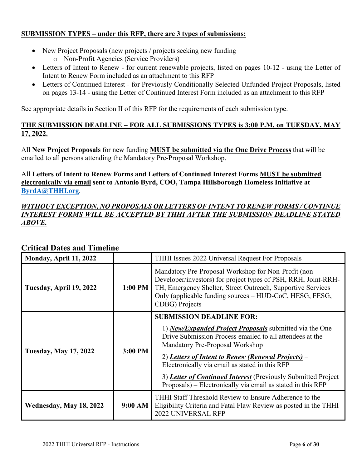#### **SUBMISSION TYPES – under this RFP, there are 3 types of submissions:**

- New Project Proposals (new projects / projects seeking new funding o Non-Profit Agencies (Service Providers)
- Letters of Intent to Renew for current renewable projects, listed on pages 10-12 using the Letter of Intent to Renew Form included as an attachment to this RFP
- Letters of Continued Interest for Previously Conditionally Selected Unfunded Project Proposals, listed on pages 13-14 - using the Letter of Continued Interest Form included as an attachment to this RFP

See appropriate details in Section II of this RFP for the requirements of each submission type.

#### **THE SUBMISSION DEADLINE – FOR ALL SUBMISSIONS TYPES is 3:00 P.M. on TUESDAY, MAY 17, 2022.**

All **New Project Proposals** for new funding **MUST be submitted via the One Drive Process** that will be emailed to all persons attending the Mandatory Pre-Proposal Workshop.

All **Letters of Intent to Renew Forms and Letters of Continued Interest Forms MUST be submitted electronically via email sent to Antonio Byrd, COO, Tampa Hillsborough Homeless Initiative at ByrdA@THHI.org**.

#### *WITHOUT EXCEPTION, NO PROPOSALS OR LETTERS OF INTENT TO RENEW FORMS / CONTINUE INTEREST FORMS WILL BE ACCEPTED BY THHI AFTER THE SUBMISSION DEADLINE STATED ABOVE.*

| Monday, April 11, 2022                                       |         | THHI Issues 2022 Universal Request For Proposals                                                                                                                                                                                                                                                                                                                                                                                         |
|--------------------------------------------------------------|---------|------------------------------------------------------------------------------------------------------------------------------------------------------------------------------------------------------------------------------------------------------------------------------------------------------------------------------------------------------------------------------------------------------------------------------------------|
| 1:00 PM<br>Tuesday, April 19, 2022<br><b>CDBG</b> ) Projects |         | Mandatory Pre-Proposal Workshop for Non-Profit (non-<br>Developer/investors) for project types of PSH, RRH, Joint-RRH-<br>TH, Emergency Shelter, Street Outreach, Supportive Services<br>Only (applicable funding sources - HUD-CoC, HESG, FESG,                                                                                                                                                                                         |
| <b>Tuesday, May 17, 2022</b>                                 | 3:00 PM | <b>SUBMISSION DEADLINE FOR:</b><br>1) <i>New/Expanded Project Proposals</i> submitted via the One<br>Drive Submission Process emailed to all attendees at the<br>Mandatory Pre-Proposal Workshop<br>2) Letters of Intent to Renew (Renewal Projects) –<br>Electronically via email as stated in this RFP<br>3) Letter of Continued Interest (Previously Submitted Project<br>Proposals) – Electronically via email as stated in this RFP |
| Wednesday, May 18, 2022                                      | 9:00 AM | THHI Staff Threshold Review to Ensure Adherence to the<br>Eligibility Criteria and Fatal Flaw Review as posted in the THHI<br><b>2022 UNIVERSAL RFP</b>                                                                                                                                                                                                                                                                                  |

#### **Critical Dates and Timeline**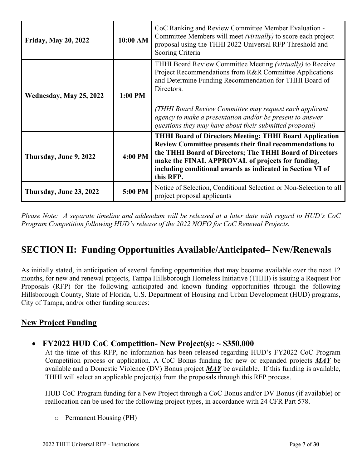| 10:00 AM<br><b>Friday, May 20, 2022</b> |         | CoC Ranking and Review Committee Member Evaluation -<br>Committee Members will meet (virtually) to score each project<br>proposal using the THHI 2022 Universal RFP Threshold and<br>Scoring Criteria                                                                                                                                                                            |
|-----------------------------------------|---------|----------------------------------------------------------------------------------------------------------------------------------------------------------------------------------------------------------------------------------------------------------------------------------------------------------------------------------------------------------------------------------|
| Wednesday, May 25, 2022                 | 1:00 PM | THHI Board Review Committee Meeting (virtually) to Receive<br>Project Recommendations from R&R Committee Applications<br>and Determine Funding Recommendation for THHI Board of<br>Directors.<br>(THHI Board Review Committee may request each applicant<br>agency to make a presentation and/or be present to answer<br>questions they may have about their submitted proposal) |
| Thursday, June 9, 2022                  | 4:00 PM | <b>THHI Board of Directors Meeting; THHI Board Application</b><br>Review Committee presents their final recommendations to<br>the THHI Board of Directors; The THHI Board of Directors<br>make the FINAL APPROVAL of projects for funding,<br>including conditional awards as indicated in Section VI of<br>this RFP.                                                            |
| Thursday, June 23, 2022                 | 5:00 PM | Notice of Selection, Conditional Selection or Non-Selection to all<br>project proposal applicants                                                                                                                                                                                                                                                                                |

*Please Note: A separate timeline and addendum will be released at a later date with regard to HUD's CoC Program Competition following HUD's release of the 2022 NOFO for CoC Renewal Projects.* 

# **SECTION II: Funding Opportunities Available/Anticipated– New/Renewals**

As initially stated, in anticipation of several funding opportunities that may become available over the next 12 months, for new and renewal projects, Tampa Hillsborough Homeless Initiative (THHI) is issuing a Request For Proposals (RFP) for the following anticipated and known funding opportunities through the following Hillsborough County, State of Florida, U.S. Department of Housing and Urban Development (HUD) programs, City of Tampa, and/or other funding sources:

#### **New Project Funding**

**FY2022 HUD CoC Competition- New Project(s): ~ \$350,000** 

At the time of this RFP, no information has been released regarding HUD's FY2022 CoC Program Competition process or application. A CoC Bonus funding for new or expanded projects *MAY* be available and a Domestic Violence (DV) Bonus project *MAY* be available. If this funding is available, THHI will select an applicable project(s) from the proposals through this RFP process.

HUD CoC Program funding for a New Project through a CoC Bonus and/or DV Bonus (if available) or reallocation can be used for the following project types, in accordance with 24 CFR Part 578.

o Permanent Housing (PH)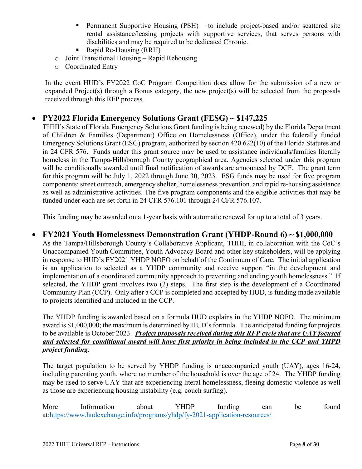- **Permanent Supportive Housing (PSH)** to include project-based and/or scattered site rental assistance/leasing projects with supportive services, that serves persons with disabilities and may be required to be dedicated Chronic.
- Rapid Re-Housing (RRH)
- o Joint Transitional Housing Rapid Rehousing
- o Coordinated Entry

In the event HUD's FY2022 CoC Program Competition does allow for the submission of a new or expanded Project(s) through a Bonus category, the new project(s) will be selected from the proposals received through this RFP process.

#### **PY2022 Florida Emergency Solutions Grant (FESG) ~ \$147,225**

THHI's State of Florida Emergency Solutions Grant funding is being renewed) by the Florida Department of Children & Families (Department) Office on Homelessness (Office), under the federally funded Emergency Solutions Grant (ESG) program, authorized by section 420.622(10) of the Florida Statutes and in 24 CFR 576. Funds under this grant source may be used to assistance individuals/families literally homeless in the Tampa-Hillsborough County geographical area. Agencies selected under this program will be conditionally awarded until final notification of awards are announced by DCF. The grant term for this program will be July 1, 2022 through June 30, 2023. ESG funds may be used for five program components: street outreach, emergency shelter, homelessness prevention, and rapid re-housing assistance as well as administrative activities. The five program components and the eligible activities that may be funded under each are set forth in 24 CFR 576.101 through 24 CFR 576.107.

This funding may be awarded on a 1-year basis with automatic renewal for up to a total of 3 years.

#### **FY2021 Youth Homelessness Demonstration Grant (YHDP-Round 6) ~ \$1,000,000**

As the Tampa/Hillsborough County's Collaborative Applicant, THHI, in collaboration with the CoC's Unaccompanied Youth Committee, Youth Advocacy Board and other key stakeholders, will be applying in response to HUD's FY2021 YHDP NOFO on behalf of the Continuum of Care. The initial application is an application to selected as a YHDP community and receive support "in the development and implementation of a coordinated community approach to preventing and ending youth homelessness." If selected, the YHDP grant involves two (2) steps. The first step is the development of a Coordinated Community Plan (CCP). Only after a CCP is completed and accepted by HUD, is funding made available to projects identified and included in the CCP.

The YHDP funding is awarded based on a formula HUD explains in the YHDP NOFO. The minimum award is \$1,000,000; the maximum is determined by HUD's formula. The anticipated funding for projects to be available is October 2023. *Project proposals received during this RFP cycle that are UAY focused and selected for conditional award will have first priority in being included in the CCP and YHPD project funding.* 

The target population to be served by YHDP funding is unaccompanied youth (UAY), ages 16-24, including parenting youth, where no member of the household is over the age of 24. The YHDP funding may be used to serve UAY that are experiencing literal homelessness, fleeing domestic violence as well as those are experiencing housing instability (e.g. couch surfing).

More Information about YHDP funding can be found at:https://www.hudexchange.info/programs/yhdp/fy-2021-application-resources/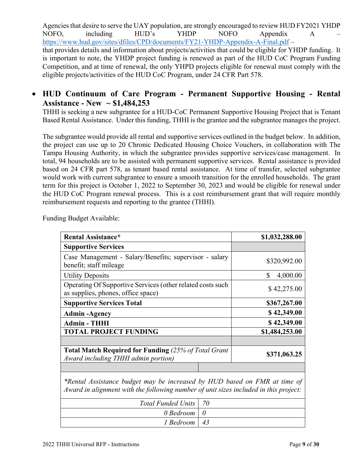Agencies that desire to serve the UAY population, are strongly encouraged to review HUD FY2021 YHDP NOFO, including HUD's YHDP NOFO Appendix A – https://www.hud.gov/sites/dfiles/CPD/documents/FY21-YHDP-Appendix-A-Final.pdf – that provides details and information about projects/activities that could be eligible for YHDP funding. It is important to note, the YHDP project funding is renewed as part of the HUD CoC Program Funding Competition, and at time of renewal, the only YHPD projects eligible for renewal must comply with the eligible projects/activities of the HUD CoC Program, under 24 CFR Part 578.

#### **HUD Continuum of Care Program - Permanent Supportive Housing - Rental Assistance - New ~ \$1,484,253**

THHI is seeking a new subgrantee for a HUD-CoC Permanent Supportive Housing Project that is Tenant Based Rental Assistance. Under this funding, THHI is the grantee and the subgrantee manages the project.

The subgrantee would provide all rental and supportive services outlined in the budget below. In addition, the project can use up to 20 Chronic Dedicated Housing Choice Vouchers, in collaboration with The Tampa Housing Authority, in which the subgrantee provides supportive services/case management. In total, 94 households are to be assisted with permanent supportive services. Rental assistance is provided based on 24 CFR part 578, as tenant based rental assistance. At time of transfer, selected subgrantee would work with current subgrantee to ensure a smooth transition for the enrolled households. The grant term for this project is October 1, 2022 to September 30, 2023 and would be eligible for renewal under the HUD CoC Program renewal process. This is a cost reimbursement grant that will require monthly reimbursement requests and reporting to the grantee (THHI).

| <b>Rental Assistance*</b>                                                                          | \$1,032,288.00 |
|----------------------------------------------------------------------------------------------------|----------------|
| <b>Supportive Services</b>                                                                         |                |
| Case Management - Salary/Benefits; supervisor - salary<br>benefit; staff mileage                   | \$320,992.00   |
| <b>Utility Deposits</b>                                                                            | \$<br>4,000.00 |
| Operating Of Supportive Services (other related costs such<br>as supplies, phones, office space)   | \$42,275.00    |
| <b>Supportive Services Total</b>                                                                   | \$367,267.00   |
| <b>Admin-Agency</b>                                                                                | \$42,349.00    |
| <b>Admin - THHI</b>                                                                                | \$42,349.00    |
| <b>TOTAL PROJECT FUNDING</b>                                                                       | \$1,484,253.00 |
|                                                                                                    |                |
| <b>Total Match Required for Funding (25% of Total Grant</b><br>Award including THHI admin portion) | \$371,063.25   |
|                                                                                                    |                |

Funding Budget Available:

*\*Rental Assistance budget may be increased by HUD based on FMR at time of Award in alignment with the following number of unit sizes included in this project:* 

| Total Funded Units   70 |  |
|-------------------------|--|
| $0$ Bedroom $\mid 0$    |  |
| 1 Bedroom   43          |  |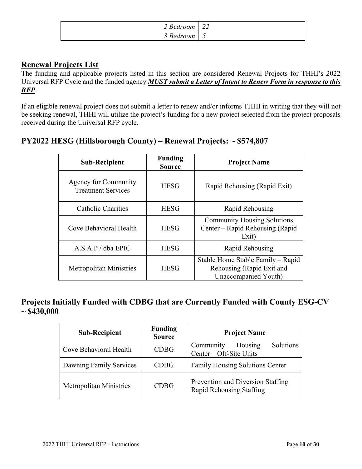| $\angle$ Bedroom | $\sim$<br>44 |
|------------------|--------------|
| s Bedroom        | ັ            |

### **Renewal Projects List**

The funding and applicable projects listed in this section are considered Renewal Projects for THHI's 2022 Universal RFP Cycle and the funded agency *MUST submit a Letter of Intent to Renew Form in response to this RFP*.

If an eligible renewal project does not submit a letter to renew and/or informs THHI in writing that they will not be seeking renewal, THHI will utilize the project's funding for a new project selected from the project proposals received during the Universal RFP cycle.

#### **PY2022 HESG (Hillsborough County) – Renewal Projects: ~ \$574,807**

| <b>Sub-Recipient</b>                                     | <b>Funding</b><br><b>Source</b> | <b>Project Name</b>                                                                    |
|----------------------------------------------------------|---------------------------------|----------------------------------------------------------------------------------------|
| <b>Agency for Community</b><br><b>Treatment Services</b> | <b>HESG</b>                     | Rapid Rehousing (Rapid Exit)                                                           |
| <b>Catholic Charities</b>                                | <b>HESG</b>                     | Rapid Rehousing                                                                        |
| Cove Behavioral Health                                   | <b>HESG</b>                     | <b>Community Housing Solutions</b><br>Center – Rapid Rehousing (Rapid<br>Exit)         |
| A.S.A.P / dba EPIC                                       | <b>HESG</b>                     | Rapid Rehousing                                                                        |
| <b>Metropolitan Ministries</b>                           | <b>HESG</b>                     | Stable Home Stable Family – Rapid<br>Rehousing (Rapid Exit and<br>Unaccompanied Youth) |

#### **Projects Initially Funded with CDBG that are Currently Funded with County ESG-CV ~ \$430,000**

| <b>Sub-Recipient</b>           | <b>Funding</b><br><b>Source</b> | <b>Project Name</b>                                           |  |
|--------------------------------|---------------------------------|---------------------------------------------------------------|--|
| Cove Behavioral Health         | <b>CDBG</b>                     | Solutions<br>Housing<br>Community<br>Center – Off-Site Units  |  |
| Dawning Family Services        | <b>CDBG</b>                     | Family Housing Solutions Center                               |  |
| <b>Metropolitan Ministries</b> | <b>CDBG</b>                     | Prevention and Diversion Staffing<br>Rapid Rehousing Staffing |  |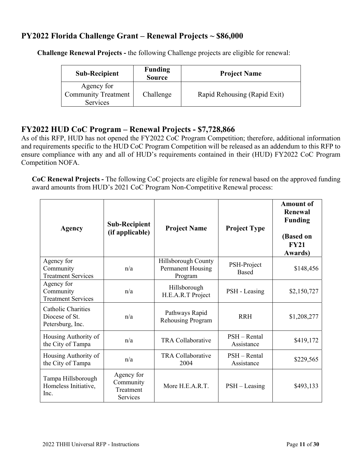#### **PY2022 Florida Challenge Grant – Renewal Projects ~ \$86,000**

| <b>Sub-Recipient</b>                                 | <b>Funding</b><br><b>Source</b> | <b>Project Name</b>          |
|------------------------------------------------------|---------------------------------|------------------------------|
| Agency for<br><b>Community Treatment</b><br>Services | Challenge                       | Rapid Rehousing (Rapid Exit) |

 **Challenge Renewal Projects -** the following Challenge projects are eligible for renewal:

#### **FY2022 HUD CoC Program – Renewal Projects - \$7,728,866**

As of this RFP, HUD has not opened the FY2022 CoC Program Competition; therefore, additional information and requirements specific to the HUD CoC Program Competition will be released as an addendum to this RFP to ensure compliance with any and all of HUD's requirements contained in their (HUD) FY2022 CoC Program Competition NOFA.

**CoC Renewal Projects -** The following CoC projects are eligible for renewal based on the approved funding award amounts from HUD's 2021 CoC Program Non-Competitive Renewal process:

| <b>Agency</b>                                            | <b>Sub-Recipient</b><br>(if applicable)                 | <b>Project Name</b>                                 | <b>Project Type</b>          | <b>Amount of</b><br>Renewal<br><b>Funding</b><br>(Based on<br>FY21<br>Awards) |
|----------------------------------------------------------|---------------------------------------------------------|-----------------------------------------------------|------------------------------|-------------------------------------------------------------------------------|
| Agency for<br>Community<br><b>Treatment Services</b>     | n/a                                                     | Hillsborough County<br>Permanent Housing<br>Program | PSH-Project<br><b>Based</b>  | \$148,456                                                                     |
| Agency for<br>Community<br><b>Treatment Services</b>     | n/a                                                     | Hillsborough<br>H.E.A.R.T Project                   | PSH - Leasing                | \$2,150,727                                                                   |
| Catholic Charities<br>Diocese of St.<br>Petersburg, Inc. | n/a                                                     | Pathways Rapid<br>Rehousing Program                 | <b>RRH</b>                   | \$1,208,277                                                                   |
| Housing Authority of<br>the City of Tampa                | n/a                                                     | <b>TRA Collaborative</b>                            | $PSH - Rental$<br>Assistance | \$419,172                                                                     |
| Housing Authority of<br>the City of Tampa                | n/a                                                     | <b>TRA Collaborative</b><br>2004                    | $PSH - Rental$<br>Assistance | \$229,565                                                                     |
| Tampa Hillsborough<br>Homeless Initiative,<br>Inc.       | Agency for<br>Community<br>Treatment<br><b>Services</b> | More H.E.A.R.T.                                     | $PSH - Leasing$              | \$493,133                                                                     |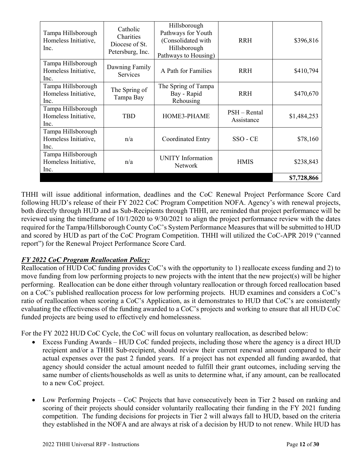| Tampa Hillsborough<br>Homeless Initiative,<br>Inc. | Catholic<br>Charities<br>Diocese of St.<br>Petersburg, Inc. | Hillsborough<br>Pathways for Youth<br>(Consolidated with<br>Hillsborough<br>Pathways to Housing) | <b>RRH</b>                 | \$396,816   |
|----------------------------------------------------|-------------------------------------------------------------|--------------------------------------------------------------------------------------------------|----------------------------|-------------|
| Tampa Hillsborough<br>Homeless Initiative,<br>Inc. | Dawning Family<br>Services                                  | A Path for Families                                                                              | <b>RRH</b>                 | \$410,794   |
| Tampa Hillsborough<br>Homeless Initiative,<br>Inc. | The Spring of<br>Tampa Bay                                  | The Spring of Tampa<br>Bay - Rapid<br>Rehousing                                                  | <b>RRH</b>                 | \$470,670   |
| Tampa Hillsborough<br>Homeless Initiative,<br>Inc. | <b>TBD</b>                                                  | HOME3-PHAME                                                                                      | PSH - Rental<br>Assistance | \$1,484,253 |
| Tampa Hillsborough<br>Homeless Initiative,<br>Inc. | n/a                                                         | Coordinated Entry                                                                                | SSO - CE                   | \$78,160    |
| Tampa Hillsborough<br>Homeless Initiative,<br>Inc. | n/a                                                         | <b>UNITY</b> Information<br><b>Network</b>                                                       | <b>HMIS</b>                | \$238,843   |
|                                                    |                                                             |                                                                                                  |                            | \$7,728,866 |

THHI will issue additional information, deadlines and the CoC Renewal Project Performance Score Card following HUD's release of their FY 2022 CoC Program Competition NOFA. Agency's with renewal projects, both directly through HUD and as Sub-Recipients through THHI, are reminded that project performance will be reviewed using the timeframe of 10/1/2020 to 9/30/2021 to align the project performance review with the dates required for the Tampa/Hillsborough County CoC's System Performance Measures that will be submitted to HUD and scored by HUD as part of the CoC Program Competition. THHI will utilized the CoC-APR 2019 ("canned report") for the Renewal Project Performance Score Card.

#### *FY 2022 CoC Program Reallocation Policy:*

Reallocation of HUD CoC funding provides CoC's with the opportunity to 1) reallocate excess funding and 2) to move funding from low performing projects to new projects with the intent that the new project(s) will be higher performing. Reallocation can be done either through voluntary reallocation or through forced reallocation based on a CoC's published reallocation process for low performing projects. HUD examines and considers a CoC's ratio of reallocation when scoring a CoC's Application, as it demonstrates to HUD that CoC's are consistently evaluating the effectiveness of the funding awarded to a CoC's projects and working to ensure that all HUD CoC funded projects are being used to effectively end homelessness.

For the FY 2022 HUD CoC Cycle, the CoC will focus on voluntary reallocation, as described below:

- Excess Funding Awards HUD CoC funded projects, including those where the agency is a direct HUD recipient and/or a THHI Sub-recipient, should review their current renewal amount compared to their actual expenses over the past 2 funded years. If a project has not expended all funding awarded, that agency should consider the actual amount needed to fulfill their grant outcomes, including serving the same number of clients/households as well as units to determine what, if any amount, can be reallocated to a new CoC project.
- Low Performing Projects CoC Projects that have consecutively been in Tier 2 based on ranking and scoring of their projects should consider voluntarily reallocating their funding in the FY 2021 funding competition. The funding decisions for projects in Tier 2 will always fall to HUD, based on the criteria they established in the NOFA and are always at risk of a decision by HUD to not renew. While HUD has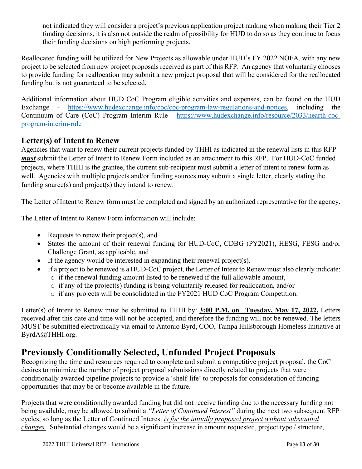not indicated they will consider a project's previous application project ranking when making their Tier 2 funding decisions, it is also not outside the realm of possibility for HUD to do so as they continue to focus their funding decisions on high performing projects.

Reallocated funding will be utilized for New Projects as allowable under HUD's FY 2022 NOFA, with any new project to be selected from new project proposals received as part of this RFP. An agency that voluntarily chooses to provide funding for reallocation may submit a new project proposal that will be considered for the reallocated funding but is not guaranteed to be selected.

Additional information about HUD CoC Program eligible activities and expenses, can be found on the HUD Exchange - https://www.hudexchange.info/coc/coc-program-law-regulations-and-notices, including the Continuum of Care (CoC) Program Interim Rule - https://www.hudexchange.info/resource/2033/hearth-cocprogram-interim-rule

#### **Letter(s) of Intent to Renew**

Agencies that want to renew their current projects funded by THHI as indicated in the renewal lists in this RFP *must* submit the Letter of Intent to Renew Form included as an attachment to this RFP. For HUD-CoC funded projects, where THHI is the grantee, the current sub-recipient must submit a letter of intent to renew form as well. Agencies with multiple projects and/or funding sources may submit a single letter, clearly stating the funding source(s) and project(s) they intend to renew.

The Letter of Intent to Renew form must be completed and signed by an authorized representative for the agency.

The Letter of Intent to Renew Form information will include:

- Requests to renew their project(s), and
- States the amount of their renewal funding for HUD-CoC, CDBG (PY2021), HESG, FESG and/or Challenge Grant, as applicable, and
- If the agency would be interested in expanding their renewal project(s).
	- If a project to be renewed is a HUD-CoC project, the Letter of Intent to Renew must also clearly indicate:  $\circ$  if the renewal funding amount listed to be renewed if the full allowable amount,
		- $\circ$  if any of the project(s) funding is being voluntarily released for reallocation, and/or
		- o if any projects will be consolidated in the FY2021 HUD CoC Program Competition.

Letter(s) of Intent to Renew must be submitted to THHI by: **3:00 P.M. on \_Tuesday, May 17, 2022.** Letters received after this date and time will not be accepted, and therefore the funding will not be renewed. The letters MUST be submitted electronically via email to Antonio Byrd, COO, Tampa Hillsborough Homeless Initiative at ByrdA@THHI.org.

## **Previously Conditionally Selected, Unfunded Project Proposals**

Recognizing the time and resources required to complete and submit a competitive project proposal, the CoC desires to minimize the number of project proposal submissions directly related to projects that were conditionally awarded pipeline projects to provide a 'shelf-life' to proposals for consideration of funding opportunities that may be or become available in the future.

Projects that were conditionally awarded funding but did not receive funding due to the necessary funding not being available, may be allowed to submit a *"Letter of Continued Interest"* during the next two subsequent RFP cycles, so long as the Letter of Continued Interest *is for the initially proposed project without substantial changes.* Substantial changes would be a significant increase in amount requested, project type / structure,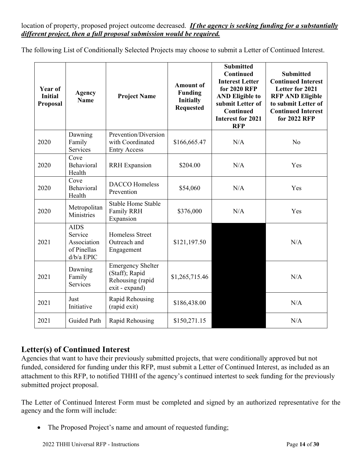#### location of property, proposed project outcome decreased. *If the agency is seeking funding for a substantially different project, then a full proposal submission would be required.*

The following List of Conditionally Selected Projects may choose to submit a Letter of Continued Interest.

| Year of<br><b>Initial</b><br>Proposal | <b>Agency</b><br><b>Name</b>                                       | <b>Project Name</b>                                                              | <b>Amount of</b><br><b>Funding</b><br><b>Initially</b><br><b>Requested</b> | <b>Submitted</b><br>Continued<br><b>Interest Letter</b><br>for 2020 RFP<br><b>AND Eligible to</b><br>submit Letter of<br>Continued<br><b>Interest for 2021</b><br><b>RFP</b> | <b>Submitted</b><br><b>Continued Interest</b><br>Letter for 2021<br><b>RFP AND Eligible</b><br>to submit Letter of<br><b>Continued Interest</b><br>for 2022 RFP |
|---------------------------------------|--------------------------------------------------------------------|----------------------------------------------------------------------------------|----------------------------------------------------------------------------|------------------------------------------------------------------------------------------------------------------------------------------------------------------------------|-----------------------------------------------------------------------------------------------------------------------------------------------------------------|
| 2020                                  | Dawning<br>Family<br>Services                                      | Prevention/Diversion<br>with Coordinated<br><b>Entry Access</b>                  | \$166,665.47                                                               | N/A                                                                                                                                                                          | N <sub>o</sub>                                                                                                                                                  |
| 2020                                  | Cove<br>Behavioral<br>Health                                       | <b>RRH</b> Expansion                                                             | \$204.00                                                                   | N/A                                                                                                                                                                          | Yes                                                                                                                                                             |
| 2020                                  | Cove<br>Behavioral<br>Health                                       | <b>DACCO</b> Homeless<br>Prevention                                              | \$54,060                                                                   | N/A                                                                                                                                                                          | Yes                                                                                                                                                             |
| 2020                                  | Metropolitan<br>Ministries                                         | <b>Stable Home Stable</b><br>Family RRH<br>Expansion                             | \$376,000                                                                  | N/A                                                                                                                                                                          | Yes                                                                                                                                                             |
| 2021                                  | <b>AIDS</b><br>Service<br>Association<br>of Pinellas<br>d/b/a EPIC | <b>Homeless Street</b><br>Outreach and<br>Engagement                             | \$121,197.50                                                               |                                                                                                                                                                              | N/A                                                                                                                                                             |
| 2021                                  | Dawning<br>Family<br>Services                                      | <b>Emergency Shelter</b><br>(Staff); Rapid<br>Rehousing (rapid<br>exit - expand) | \$1,265,715.46                                                             |                                                                                                                                                                              | N/A                                                                                                                                                             |
| 2021                                  | Just<br>Initiative                                                 | Rapid Rehousing<br>(rapid exit)                                                  | \$186,438.00                                                               |                                                                                                                                                                              | N/A                                                                                                                                                             |
| 2021                                  | Guided Path                                                        | Rapid Rehousing                                                                  | \$150,271.15                                                               |                                                                                                                                                                              | N/A                                                                                                                                                             |

#### **Letter(s) of Continued Interest**

Agencies that want to have their previously submitted projects, that were conditionally approved but not funded, considered for funding under this RFP, must submit a Letter of Continued Interest, as included as an attachment to this RFP, to notified THHI of the agency's continued intertest to seek funding for the previously submitted project proposal.

The Letter of Continued Interest Form must be completed and signed by an authorized representative for the agency and the form will include:

• The Proposed Project's name and amount of requested funding;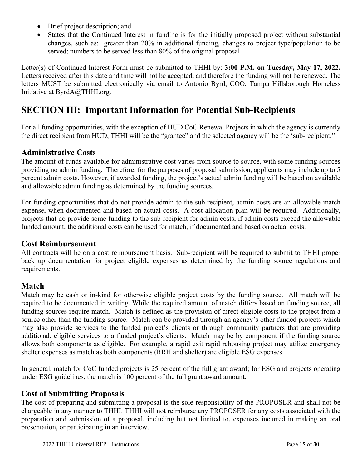- Brief project description; and
- States that the Continued Interest in funding is for the initially proposed project without substantial changes, such as: greater than 20% in additional funding, changes to project type/population to be served; numbers to be served less than 80% of the original proposal

Letter(s) of Continued Interest Form must be submitted to THHI by: **3:00 P.M. on Tuesday, May 17, 2022.**  Letters received after this date and time will not be accepted, and therefore the funding will not be renewed. The letters MUST be submitted electronically via email to Antonio Byrd, COO, Tampa Hillsborough Homeless Initiative at ByrdA@THHI.org.

## **SECTION III: Important Information for Potential Sub-Recipients**

For all funding opportunities, with the exception of HUD CoC Renewal Projects in which the agency is currently the direct recipient from HUD, THHI will be the "grantee" and the selected agency will be the 'sub-recipient."

#### **Administrative Costs**

The amount of funds available for administrative cost varies from source to source, with some funding sources providing no admin funding. Therefore, for the purposes of proposal submission, applicants may include up to 5 percent admin costs. However, if awarded funding, the project's actual admin funding will be based on available and allowable admin funding as determined by the funding sources.

For funding opportunities that do not provide admin to the sub-recipient, admin costs are an allowable match expense, when documented and based on actual costs. A cost allocation plan will be required. Additionally, projects that do provide some funding to the sub-recipient for admin costs, if admin costs exceed the allowable funded amount, the additional costs can be used for match, if documented and based on actual costs.

#### **Cost Reimbursement**

All contracts will be on a cost reimbursement basis. Sub-recipient will be required to submit to THHI proper back up documentation for project eligible expenses as determined by the funding source regulations and requirements.

#### **Match**

Match may be cash or in-kind for otherwise eligible project costs by the funding source. All match will be required to be documented in writing. While the required amount of match differs based on funding source, all funding sources require match. Match is defined as the provision of direct eligible costs to the project from a source other than the funding source. Match can be provided through an agency's other funded projects which may also provide services to the funded project's clients or through community partners that are providing additional, eligible services to a funded project's clients. Match may be by component if the funding source allows both components as eligible. For example, a rapid exit rapid rehousing project may utilize emergency shelter expenses as match as both components (RRH and shelter) are eligible ESG expenses.

In general, match for CoC funded projects is 25 percent of the full grant award; for ESG and projects operating under ESG guidelines, the match is 100 percent of the full grant award amount.

#### **Cost of Submitting Proposals**

The cost of preparing and submitting a proposal is the sole responsibility of the PROPOSER and shall not be chargeable in any manner to THHI. THHI will not reimburse any PROPOSER for any costs associated with the preparation and submission of a proposal, including but not limited to, expenses incurred in making an oral presentation, or participating in an interview.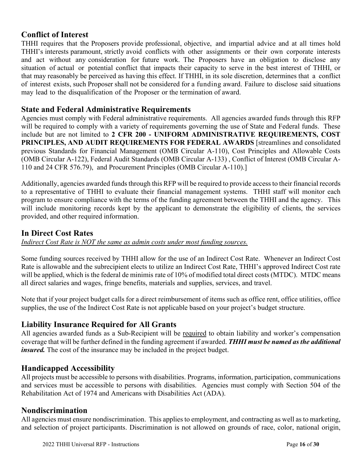#### **Conflict of Interest**

THHI requires that the Proposers provide professional, objective, and impartial advice and at all times hold THHI's interests paramount, strictly avoid conflicts with other assignments or their own corporate interests and act without any consideration for future work. The Proposers have an obligation to disclose any situation of actual or potential conflict that impacts their capacity to serve in the best interest of THHI, or that may reasonably be perceived as having this effect. If THHI, in its sole discretion, determines that a conflict of interest exists, such Proposer shall not be considered for a funding award. Failure to disclose said situations may lead to the disqualification of the Proposer or the termination of award.

#### **State and Federal Administrative Requirements**

Agencies must comply with Federal administrative requirements. All agencies awarded funds through this RFP will be required to comply with a variety of requirements governing the use of State and Federal funds. These include but are not limited to **2 CFR 200 - UNIFORM ADMINISTRATIVE REQUIREMENTS, COST PRINCIPLES, AND AUDIT REQUIREMENTS FOR FEDERAL AWARDS** [streamlines and consolidated previous Standards for Financial Management (OMB Circular A-110), Cost Principles and Allowable Costs (OMB Circular A-122), Federal Audit Standards (OMB Circular A-133) , Conflict of Interest (OMB Circular A-110 and 24 CFR 576.79), and Procurement Principles (OMB Circular A-110).]

Additionally, agencies awarded funds through this RFP will be required to provide access to their financial records to a representative of THHI to evaluate their financial management systems. THHI staff will monitor each program to ensure compliance with the terms of the funding agreement between the THHI and the agency. This will include monitoring records kept by the applicant to demonstrate the eligibility of clients, the services provided, and other required information.

#### **In Direct Cost Rates**

*Indirect Cost Rate is NOT the same as admin costs under most funding sources.* 

Some funding sources received by THHI allow for the use of an Indirect Cost Rate. Whenever an Indirect Cost Rate is allowable and the subrecipient elects to utilize an Indirect Cost Rate, THHI's approved Indirect Cost rate will be applied, which is the federal de minimis rate of 10% of modified total direct costs (MTDC). MTDC means all direct salaries and wages, fringe benefits, materials and supplies, services, and travel.

Note that if your project budget calls for a direct reimbursement of items such as office rent, office utilities, office supplies, the use of the Indirect Cost Rate is not applicable based on your project's budget structure.

#### **Liability Insurance Required for All Grants**

All agencies awarded funds as a Sub-Recipient will be required to obtain liability and worker's compensation coverage that will be further defined in the funding agreement if awarded. *THHI must be named as the additional insured.* The cost of the insurance may be included in the project budget.

#### **Handicapped Accessibility**

All projects must be accessible to persons with disabilities. Programs, information, participation, communications and services must be accessible to persons with disabilities. Agencies must comply with Section 504 of the Rehabilitation Act of 1974 and Americans with Disabilities Act (ADA).

#### **Nondiscrimination**

All agencies must ensure nondiscrimination. This applies to employment, and contracting as well as to marketing, and selection of project participants. Discrimination is not allowed on grounds of race, color, national origin,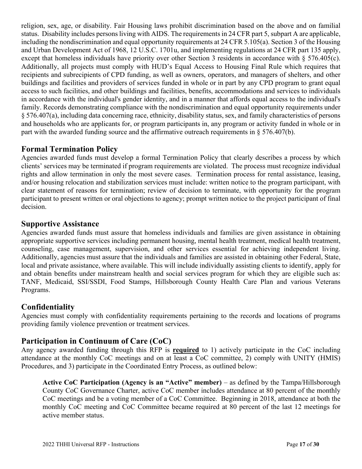religion, sex, age, or disability. Fair Housing laws prohibit discrimination based on the above and on familial status. Disability includes persons living with AIDS. The requirements in 24 CFR part 5, subpart A are applicable, including the nondiscrimination and equal opportunity requirements at 24 CFR 5.105(a). Section 3 of the Housing and Urban Development Act of 1968, 12 U.S.C. 1701u, and implementing regulations at 24 CFR part 135 apply, except that homeless individuals have priority over other Section 3 residents in accordance with § 576.405(c). Additionally, all projects must comply with HUD's Equal Access to Housing Final Rule which requires that recipients and subrecipients of CPD funding, as well as owners, operators, and managers of shelters, and other buildings and facilities and providers of services funded in whole or in part by any CPD program to grant equal access to such facilities, and other buildings and facilities, benefits, accommodations and services to individuals in accordance with the individual's gender identity, and in a manner that affords equal access to the individual's family. Records demonstrating compliance with the nondiscrimination and equal opportunity requirements under § 576.407(a), including data concerning race, ethnicity, disability status, sex, and family characteristics of persons and households who are applicants for, or program participants in, any program or activity funded in whole or in part with the awarded funding source and the affirmative outreach requirements in  $\S 576.407(b)$ .

#### **Formal Termination Policy**

Agencies awarded funds must develop a formal Termination Policy that clearly describes a process by which clients' services may be terminated if program requirements are violated. The process must recognize individual rights and allow termination in only the most severe cases. Termination process for rental assistance, leasing, and/or housing relocation and stabilization services must include: written notice to the program participant, with clear statement of reasons for termination; review of decision to terminate, with opportunity for the program participant to present written or oral objections to agency; prompt written notice to the project participant of final decision.

#### **Supportive Assistance**

Agencies awarded funds must assure that homeless individuals and families are given assistance in obtaining appropriate supportive services including permanent housing, mental health treatment, medical health treatment, counseling, case management, supervision, and other services essential for achieving independent living. Additionally, agencies must assure that the individuals and families are assisted in obtaining other Federal, State, local and private assistance, where available. This will include individually assisting clients to identify, apply for and obtain benefits under mainstream health and social services program for which they are eligible such as: TANF, Medicaid, SSI/SSDI, Food Stamps, Hillsborough County Health Care Plan and various Veterans Programs.

#### **Confidentiality**

Agencies must comply with confidentiality requirements pertaining to the records and locations of programs providing family violence prevention or treatment services.

#### **Participation in Continuum of Care (CoC)**

Any agency awarded funding through this RFP is **required** to 1) actively participate in the CoC including attendance at the monthly CoC meetings and on at least a CoC committee, 2) comply with UNITY (HMIS) Procedures, and 3) participate in the Coordinated Entry Process, as outlined below:

**Active CoC Participation (Agency is an "Active" member)** – as defined by the Tampa/Hillsborough County CoC Governance Charter, active CoC member includes attendance at 80 percent of the monthly CoC meetings and be a voting member of a CoC Committee. Beginning in 2018, attendance at both the monthly CoC meeting and CoC Committee became required at 80 percent of the last 12 meetings for active member status.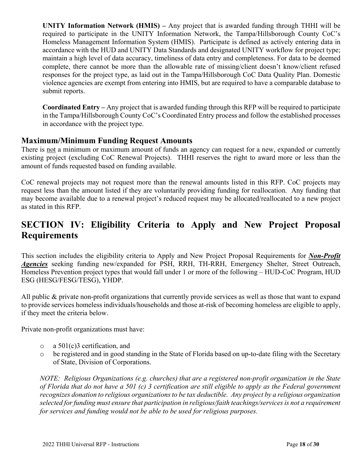**UNITY Information Network (HMIS) –** Any project that is awarded funding through THHI will be required to participate in the UNITY Information Network, the Tampa/Hillsborough County CoC's Homeless Management Information System (HMIS). Participate is defined as actively entering data in accordance with the HUD and UNITY Data Standards and designated UNITY workflow for project type; maintain a high level of data accuracy, timeliness of data entry and completeness. For data to be deemed complete, there cannot be more than the allowable rate of missing/client doesn't know/client refused responses for the project type, as laid out in the Tampa/Hillsborough CoC Data Quality Plan. Domestic violence agencies are exempt from entering into HMIS, but are required to have a comparable database to submit reports.

**Coordinated Entry –** Any project that is awarded funding through this RFP will be required to participate in the Tampa/Hillsborough County CoC's Coordinated Entry process and follow the established processes in accordance with the project type.

#### **Maximum/Minimum Funding Request Amounts**

There is not a minimum or maximum amount of funds an agency can request for a new, expanded or currently existing project (excluding CoC Renewal Projects). THHI reserves the right to award more or less than the amount of funds requested based on funding available.

CoC renewal projects may not request more than the renewal amounts listed in this RFP. CoC projects may request less than the amount listed if they are voluntarily providing funding for reallocation. Any funding that may become available due to a renewal project's reduced request may be allocated/reallocated to a new project as stated in this RFP.

# **SECTION IV: Eligibility Criteria to Apply and New Project Proposal Requirements**

This section includes the eligibility criteria to Apply and New Project Proposal Requirements for *Non-Profit Agencies* seeking funding new/expanded for PSH, RRH, TH-RRH, Emergency Shelter, Street Outreach, Homeless Prevention project types that would fall under 1 or more of the following – HUD-CoC Program, HUD ESG (HESG/FESG/TESG), YHDP.

All public & private non-profit organizations that currently provide services as well as those that want to expand to provide services homeless individuals/households and those at-risk of becoming homeless are eligible to apply, if they meet the criteria below.

Private non-profit organizations must have:

- o a 501(c)3 certification, and
- o be registered and in good standing in the State of Florida based on up-to-date filing with the Secretary of State, Division of Corporations.

*NOTE: Religious Organizations (e.g. churches) that are a registered non-profit organization in the State of Florida that do not have a 501 (c) 3 certification are still eligible to apply as the Federal government recognizes donation to religious organizations to be tax deductible. Any project by a religious organization selected for funding must ensure that participation in religious/faith teachings/services is not a requirement for services and funding would not be able to be used for religious purposes.*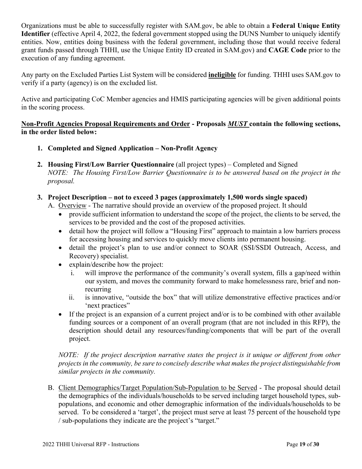Organizations must be able to successfully register with SAM.gov, be able to obtain a **Federal Unique Entity Identifier** (effective April 4, 2022, the federal government stopped using the DUNS Number to uniquely identify entities. Now, entities doing business with the federal government, including those that would receive federal grant funds passed through THHI, use the Unique Entity ID created in SAM.gov) and **CAGE Code** prior to the execution of any funding agreement.

Any party on the Excluded Parties List System will be considered **ineligible** for funding. THHI uses SAM.gov to verify if a party (agency) is on the excluded list.

Active and participating CoC Member agencies and HMIS participating agencies will be given additional points in the scoring process.

#### **Non-Profit Agencies Proposal Requirements and Order - Proposals** *MUST* **contain the following sections, in the order listed below:**

- **1. Completed and Signed Application Non-Profit Agency**
- **2. Housing First/Low Barrier Questionnaire** (all project types) Completed and Signed *NOTE: The Housing First/Low Barrier Questionnaire is to be answered based on the project in the proposal.*
- **3. Project Description not to exceed 3 pages (approximately 1,500 words single spaced)** 
	- A. Overview The narrative should provide an overview of the proposed project. It should
		- provide sufficient information to understand the scope of the project, the clients to be served, the services to be provided and the cost of the proposed activities.
		- detail how the project will follow a "Housing First" approach to maintain a low barriers process for accessing housing and services to quickly move clients into permanent housing.
		- detail the project's plan to use and/or connect to SOAR (SSI/SSDI Outreach, Access, and Recovery) specialist.
		- explain/describe how the project:
			- i. will improve the performance of the community's overall system, fills a gap/need within our system, and moves the community forward to make homelessness rare, brief and nonrecurring
			- ii. is innovative, "outside the box" that will utilize demonstrative effective practices and/or 'next practices"
		- If the project is an expansion of a current project and/or is to be combined with other available funding sources or a component of an overall program (that are not included in this RFP), the description should detail any resources/funding/components that will be part of the overall project.

*NOTE: If the project description narrative states the project is it unique or different from other projects in the community, be sure to concisely describe what makes the project distinguishable from similar projects in the community.* 

B. Client Demographics/Target Population/Sub-Population to be Served - The proposal should detail the demographics of the individuals/households to be served including target household types, subpopulations, and economic and other demographic information of the individuals/households to be served. To be considered a 'target', the project must serve at least 75 percent of the household type / sub-populations they indicate are the project's "target."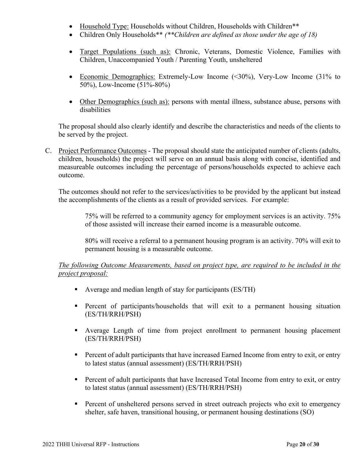- Household Type: Households without Children, Households with Children\*\*
- Children Only Households\*\* *(\*\*Children are defined as those under the age of 18)*
- Target Populations (such as): Chronic, Veterans, Domestic Violence, Families with Children, Unaccompanied Youth / Parenting Youth, unsheltered
- Economic Demographics: Extremely-Low Income (<30%), Very-Low Income (31% to 50%), Low-Income (51%-80%)
- Other Demographics (such as): persons with mental illness, substance abuse, persons with disabilities

The proposal should also clearly identify and describe the characteristics and needs of the clients to be served by the project.

C. Project Performance Outcomes - The proposal should state the anticipated number of clients (adults, children, households) the project will serve on an annual basis along with concise, identified and measureable outcomes including the percentage of persons/households expected to achieve each outcome.

The outcomes should not refer to the services/activities to be provided by the applicant but instead the accomplishments of the clients as a result of provided services. For example:

75% will be referred to a community agency for employment services is an activity. 75% of those assisted will increase their earned income is a measurable outcome.

80% will receive a referral to a permanent housing program is an activity. 70% will exit to permanent housing is a measurable outcome.

#### *The following Outcome Measurements, based on project type, are required to be included in the project proposal:*

- Average and median length of stay for participants (ES/TH)
- **Percent of participants/households that will exit to a permanent housing situation** (ES/TH/RRH/PSH)
- Average Length of time from project enrollment to permanent housing placement (ES/TH/RRH/PSH)
- **Percent of adult participants that have increased Earned Income from entry to exit, or entry** to latest status (annual assessment) (ES/TH/RRH/PSH)
- **Percent of adult participants that have Increased Total Income from entry to exit, or entry** to latest status (annual assessment) (ES/TH/RRH/PSH)
- **Percent of unsheltered persons served in street outreach projects who exit to emergency** shelter, safe haven, transitional housing, or permanent housing destinations (SO)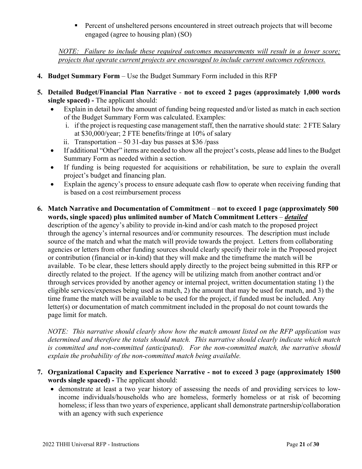**Percent of unsheltered persons encountered in street outreach projects that will become** engaged (agree to housing plan) (SO)

*NOTE: Failure to include these required outcomes measurements will result in a lower score; projects that operate current projects are encouraged to include current outcomes references.* 

- **4. Budget Summary Form** Use the Budget Summary Form included in this RFP
- **5. Detailed Budget/Financial Plan Narrative not to exceed 2 pages (approximately 1,000 words single spaced) -** The applicant should:
	- Explain in detail how the amount of funding being requested and/or listed as match in each section of the Budget Summary Form was calculated. Examples:
		- i. if the project is requesting case management staff, then the narrative should state: 2 FTE Salary at \$30,000/year; 2 FTE benefits/fringe at 10% of salary
		- ii. Transportation  $-50$  31-day bus passes at \$36/pass
	- If additional "Other" items are needed to show all the project's costs, please add lines to the Budget Summary Form as needed within a section.
	- If funding is being requested for acquisitions or rehabilitation, be sure to explain the overall project's budget and financing plan.
	- Explain the agency's process to ensure adequate cash flow to operate when receiving funding that is based on a cost reimbursement process
- **6. Match Narrative and Documentation of Commitment not to exceed 1 page (approximately 500 words, single spaced) plus unlimited number of Match Commitment Letters** – *detailed* description of the agency's ability to provide in-kind and/or cash match to the proposed project through the agency's internal resources and/or community resources. The description must include source of the match and what the match will provide towards the project. Letters from collaborating agencies or letters from other funding sources should clearly specify their role in the Proposed project or contribution (financial or in-kind) that they will make and the timeframe the match will be available. To be clear, these letters should apply directly to the project being submitted in this RFP or directly related to the project. If the agency will be utilizing match from another contract and/or through services provided by another agency or internal project, written documentation stating 1) the eligible services/expenses being used as match, 2) the amount that may be used for match, and 3) the time frame the match will be available to be used for the project, if funded must be included. Any letter(s) or documentation of match commitment included in the proposal do not count towards the page limit for match.

*NOTE: This narrative should clearly show how the match amount listed on the RFP application was determined and therefore the totals should match. This narrative should clearly indicate which match is committed and non-committed (anticipated). For the non-committed match, the narrative should explain the probability of the non-committed match being available.* 

- **7. Organizational Capacity and Experience Narrative not to exceed 3 page (approximately 1500 words single spaced) -** The applicant should:
	- demonstrate at least a two year history of assessing the needs of and providing services to lowincome individuals/households who are homeless, formerly homeless or at risk of becoming homeless; if less than two years of experience, applicant shall demonstrate partnership/collaboration with an agency with such experience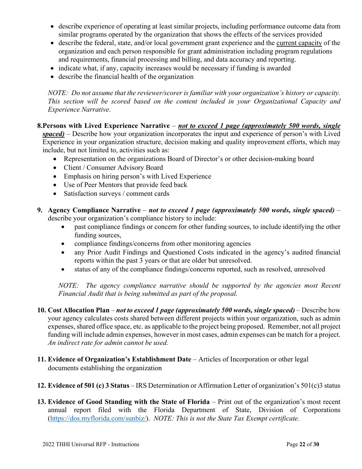- describe experience of operating at least similar projects, including performance outcome data from similar programs operated by the organization that shows the effects of the services provided
- describe the federal, state, and/or local government grant experience and the current capacity of the organization and each person responsible for grant administration including program regulations and requirements, financial processing and billing, and data accuracy and reporting.
- indicate what, if any, capacity increases would be necessary if funding is awarded
- describe the financial health of the organization

*NOTE: Do not assume that the reviewer/scorer is familiar with your organization's history or capacity. This section will be scored based on the content included in your Organizational Capacity and Experience Narrative.* 

**8.Persons with Lived Experience Narrative** – *not to exceed 1 page (approximately 500 words, single* 

*spaced)* – Describe how your organization incorporates the input and experience of person's with Lived Experience in your organization structure, decision making and quality improvement efforts, which may include, but not limited to, activities such as:

- Representation on the organizations Board of Director's or other decision-making board
- Client / Consumer Advisory Board
- Emphasis on hiring person's with Lived Experience
- Use of Peer Mentors that provide feed back
- Satisfaction surveys / comment cards
- **9. Agency Compliance Narrative** *not to exceed 1 page (approximately 500 words, single spaced)* describe your organization's compliance history to include:
	- past compliance findings or concern for other funding sources, to include identifying the other funding sources,
	- compliance findings/concerns from other monitoring agencies
	- any Prior Audit Findings and Questioned Costs indicated in the agency's audited financial reports within the past 3 years or that are older but unresolved.
	- status of any of the compliance findings/concerns reported, such as resolved, unresolved

*NOTE:* The agency compliance narrative should be supported by the agencies most Recent *Financial Audit that is being submitted as part of the proposal.* 

**10. Cost Allocation Plan** – *not to exceed 1 page (approximately 500 words, single spaced)* – Describe how your agency calculates costs shared between different projects within your organization, such as admin expenses, shared office space, etc. as applicable to the project being proposed. Remember, not all project funding will include admin expenses, however in most cases, admin expenses can be match for a project. *An indirect rate for admin cannot be used.*

- **11. Evidence of Organization's Establishment Date** Articles of Incorporation or other legal documents establishing the organization
- **12. Evidence of 501 (c) 3 Status** IRS Determination or Affirmation Letter of organization's 501(c)3 status
- **13. Evidence of Good Standing with the State of Florida** Print out of the organization's most recent annual report filed with the Florida Department of State, Division of Corporations (https://dos.myflorida.com/sunbiz/). *NOTE: This is not the State Tax Exempt certificate.*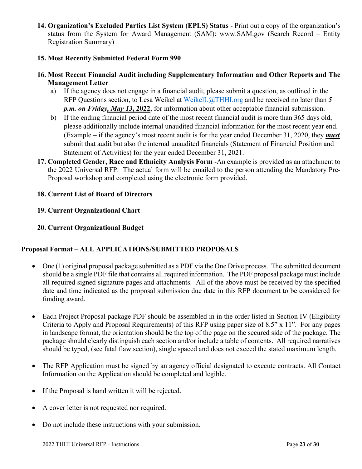**14. Organization's Excluded Parties List System (EPLS) Status** - Print out a copy of the organization's status from the System for Award Management (SAM): www.SAM.gov (Search Record – Entity Registration Summary)

#### **15. Most Recently Submitted Federal Form 990**

#### **16. Most Recent Financial Audit including Supplementary Information and Other Reports and The Management Letter**

- a) If the agency does not engage in a financial audit, please submit a question, as outlined in the RFP Questions section, to Lesa Weikel at WeikelL@THHI.org and be received no later than *5 p.m. on Friday, May 13***, 2022**, for information about other acceptable financial submission.
- b) If the ending financial period date of the most recent financial audit is more than 365 days old, please additionally include internal unaudited financial information for the most recent year end. (Example – if the agency's most recent audit is for the year ended December 31, 2020, they *must* submit that audit but also the internal unaudited financials (Statement of Financial Position and Statement of Activities) for the year ended December 31, 2021.
- **17. Completed Gender, Race and Ethnicity Analysis Form** -An example is provided as an attachment to the 2022 Universal RFP. The actual form will be emailed to the person attending the Mandatory Pre-Proposal workshop and completed using the electronic form provided.

#### **18. Current List of Board of Directors**

#### **19. Current Organizational Chart**

#### **20. Current Organizational Budget**

#### **Proposal Format – ALL APPLICATIONS/SUBMITTED PROPOSALS**

- One (1) original proposal package submitted as a PDF via the One Drive process. The submitted document should be a single PDF file that contains all required information. The PDF proposal package must include all required signed signature pages and attachments. All of the above must be received by the specified date and time indicated as the proposal submission due date in this RFP document to be considered for funding award.
- Each Project Proposal package PDF should be assembled in in the order listed in Section IV (Eligibility Criteria to Apply and Proposal Requirements) of this RFP using paper size of 8.5" x 11". For any pages in landscape format, the orientation should be the top of the page on the secured side of the package. The package should clearly distinguish each section and/or include a table of contents. All required narratives should be typed, (see fatal flaw section), single spaced and does not exceed the stated maximum length.
- The RFP Application must be signed by an agency official designated to execute contracts. All Contact Information on the Application should be completed and legible.
- If the Proposal is hand written it will be rejected.
- A cover letter is not requested nor required.
- Do not include these instructions with your submission.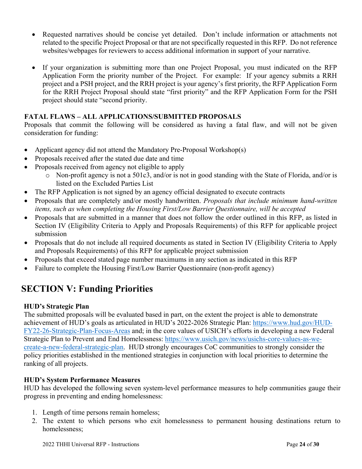- Requested narratives should be concise yet detailed. Don't include information or attachments not related to the specific Project Proposal or that are not specifically requested in this RFP. Do not reference websites/webpages for reviewers to access additional information in support of your narrative.
- If your organization is submitting more than one Project Proposal, you must indicated on the RFP Application Form the priority number of the Project. For example: If your agency submits a RRH project and a PSH project, and the RRH project is your agency's first priority, the RFP Application Form for the RRH Project Proposal should state "first priority" and the RFP Application Form for the PSH project should state "second priority.

#### **FATAL FLAWS – ALL APPLICATIONS/SUBMITTED PROPOSALS**

Proposals that commit the following will be considered as having a fatal flaw, and will not be given consideration for funding:

- Applicant agency did not attend the Mandatory Pre-Proposal Workshop(s)
- Proposals received after the stated due date and time
- Proposals received from agency not eligible to apply
	- o Non-profit agency is not a 501c3, and/or is not in good standing with the State of Florida, and/or is listed on the Excluded Parties List
- The RFP Application is not signed by an agency official designated to execute contracts
- Proposals that are completely and/or mostly handwritten. *Proposals that include minimum hand-written items, such as when completing the Housing First/Low Barrier Questionnaire, will be accepted*
- Proposals that are submitted in a manner that does not follow the order outlined in this RFP, as listed in Section IV (Eligibility Criteria to Apply and Proposals Requirements) of this RFP for applicable project submission
- Proposals that do not include all required documents as stated in Section IV (Eligibility Criteria to Apply and Proposals Requirements) of this RFP for applicable project submission
- Proposals that exceed stated page number maximums in any section as indicated in this RFP
- Failure to complete the Housing First/Low Barrier Questionnaire (non-profit agency)

# **SECTION V: Funding Priorities**

#### **HUD's Strategic Plan**

The submitted proposals will be evaluated based in part, on the extent the project is able to demonstrate achievement of HUD's goals as articulated in HUD's 2022-2026 Strategic Plan: https://www.hud.gov/HUD-FY22-26-Strategic-Plan-Focus-Areas and; in the core values of USICH's efforts in developing a new Federal Strategic Plan to Prevent and End Homelessness: https://www.usich.gov/news/usichs-core-values-as-wecreate-a-new-federal-strategic-plan. HUD strongly encourages CoC communities to strongly consider the policy priorities established in the mentioned strategies in conjunction with local priorities to determine the ranking of all projects.

#### **HUD's System Performance Measures**

HUD has developed the following seven system-level performance measures to help communities gauge their progress in preventing and ending homelessness:

- 1. Length of time persons remain homeless;
- 2. The extent to which persons who exit homelessness to permanent housing destinations return to homelessness;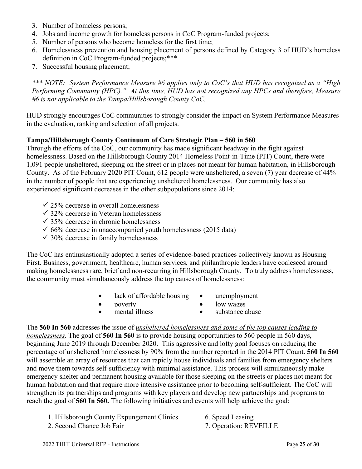- 3. Number of homeless persons;
- 4. Jobs and income growth for homeless persons in CoC Program-funded projects;
- 5. Number of persons who become homeless for the first time;
- 6. Homelessness prevention and housing placement of persons defined by Category 3 of HUD's homeless definition in CoC Program-funded projects;\*\*\*
- 7. Successful housing placement;

*\*\*\* NOTE: System Performance Measure #6 applies only to CoC's that HUD has recognized as a "High Performing Community (HPC)." At this time, HUD has not recognized any HPCs and therefore, Measure #6 is not applicable to the Tampa/Hillsborough County CoC.* 

HUD strongly encourages CoC communities to strongly consider the impact on System Performance Measures in the evaluation, ranking and selection of all projects.

#### **Tampa/Hillsborough County Continuum of Care Strategic Plan – 560 in 560**

Through the efforts of the CoC, our community has made significant headway in the fight against homelessness. Based on the Hillsborough County 2014 Homeless Point-in-Time (PIT) Count, there were 1,091 people unsheltered, sleeping on the street or in places not meant for human habitation, in Hillsborough County. As of the February 2020 PIT Count, 612 people were unsheltered, a seven (7) year decrease of 44% in the number of people that are experiencing unsheltered homelessness. Our community has also experienced significant decreases in the other subpopulations since 2014:

- $\checkmark$  25% decrease in overall homelessness
- $\checkmark$  32% decrease in Veteran homelessness
- $\checkmark$  35% decrease in chronic homelessness
- $66\%$  decrease in unaccompanied youth homelessness (2015 data)
- $\checkmark$  30% decrease in family homelessness

The CoC has enthusiastically adopted a series of evidence-based practices collectively known as Housing First. Business, government, healthcare, human services, and philanthropic leaders have coalesced around making homelessness rare, brief and non-recurring in Hillsborough County. To truly address homelessness, the community must simultaneously address the top causes of homelessness:

- lack of affordable housing unemployment
- 
- poverty low wages
- 
- mental illness **substance abuse**

The **560 In 560** addresses the issue of *unsheltered homelessness and some of the top causes leading to homelessness*. The goal of **560 In 560** is to provide housing opportunities to 560 people in 560 days, beginning June 2019 through December 2020. This aggressive and lofty goal focuses on reducing the percentage of unsheltered homelessness by 90% from the number reported in the 2014 PIT Count. **560 In 560**  will assemble an array of resources that can rapidly house individuals and families from emergency shelters and move them towards self-sufficiency with minimal assistance. This process will simultaneously make emergency shelter and permanent housing available for those sleeping on the streets or places not meant for human habitation and that require more intensive assistance prior to becoming self-sufficient. The CoC will strengthen its partnerships and programs with key players and develop new partnerships and programs to reach the goal of **560 In 560.** The following initiatives and events will help achieve the goal:

- 1. Hillsborough County Expungement Clinics 6. Speed Leasing
	-
- 2. Second Chance Job Fair 7. Operation: REVEILLE
-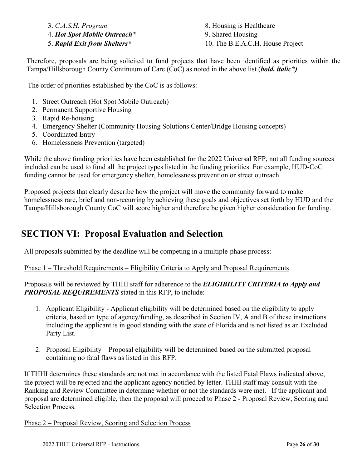4. *Hot Spot Mobile Outreach\** 9. Shared Housing

3. *C.A.S.H. Program* 8. Housing is Healthcare 5. *Rapid Exit from Shelters\** 10. The B.E.A.C.H. House Project

Therefore, proposals are being solicited to fund projects that have been identified as priorities within the Tampa/Hillsborough County Continuum of Care (CoC) as noted in the above list (*bold, italic\*)*

The order of priorities established by the CoC is as follows:

- 1. Street Outreach (Hot Spot Mobile Outreach)
- 2. Permanent Supportive Housing
- 3. Rapid Re-housing
- 4. Emergency Shelter (Community Housing Solutions Center/Bridge Housing concepts)
- 5. Coordinated Entry
- 6. Homelessness Prevention (targeted)

While the above funding priorities have been established for the 2022 Universal RFP, not all funding sources included can be used to fund all the project types listed in the funding priorities. For example, HUD-CoC funding cannot be used for emergency shelter, homelessness prevention or street outreach.

Proposed projects that clearly describe how the project will move the community forward to make homelessness rare, brief and non-recurring by achieving these goals and objectives set forth by HUD and the Tampa/Hillsborough County CoC will score higher and therefore be given higher consideration for funding.

# **SECTION VI: Proposal Evaluation and Selection**

All proposals submitted by the deadline will be competing in a multiple-phase process:

#### Phase 1 – Threshold Requirements – Eligibility Criteria to Apply and Proposal Requirements

Proposals will be reviewed by THHI staff for adherence to the *ELIGIBILITY CRITERIA to Apply and PROPOSAL REQUIREMENTS* stated in this RFP, to include:

- 1. Applicant Eligibility Applicant eligibility will be determined based on the eligibility to apply criteria, based on type of agency/funding, as described in Section IV, A and B of these instructions including the applicant is in good standing with the state of Florida and is not listed as an Excluded Party List.
- 2. Proposal Eligibility Proposal eligibility will be determined based on the submitted proposal containing no fatal flaws as listed in this RFP.

If THHI determines these standards are not met in accordance with the listed Fatal Flaws indicated above, the project will be rejected and the applicant agency notified by letter. THHI staff may consult with the Ranking and Review Committee in determine whether or not the standards were met. If the applicant and proposal are determined eligible, then the proposal will proceed to Phase 2 - Proposal Review, Scoring and Selection Process.

Phase 2 – Proposal Review, Scoring and Selection Process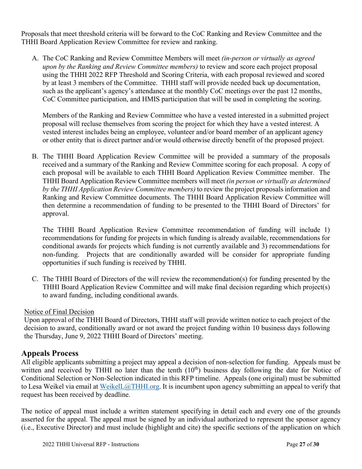Proposals that meet threshold criteria will be forward to the CoC Ranking and Review Committee and the THHI Board Application Review Committee for review and ranking.

A. The CoC Ranking and Review Committee Members will meet *(in-person or virtually as agreed upon by the Ranking and Review Committee members)* to review and score each project proposal using the THHI 2022 RFP Threshold and Scoring Criteria, with each proposal reviewed and scored by at least 3 members of the Committee. THHI staff will provide needed back up documentation, such as the applicant's agency's attendance at the monthly CoC meetings over the past 12 months, CoC Committee participation, and HMIS participation that will be used in completing the scoring.

Members of the Ranking and Review Committee who have a vested interested in a submitted project proposal will recluse themselves from scoring the project for which they have a vested interest. A vested interest includes being an employee, volunteer and/or board member of an applicant agency or other entity that is direct partner and/or would otherwise directly benefit of the proposed project.

B. The THHI Board Application Review Committee will be provided a summary of the proposals received and a summary of the Ranking and Review Committee scoring for each proposal. A copy of each proposal will be available to each THHI Board Application Review Committee member. The THHI Board Application Review Committee members will meet *(in person or virtually as determined by the THHI Application Review Committee members)* to review the project proposals information and Ranking and Review Committee documents. The THHI Board Application Review Committee will then determine a recommendation of funding to be presented to the THHI Board of Directors' for approval.

The THHI Board Application Review Committee recommendation of funding will include 1) recommendations for funding for projects in which funding is already available, recommendations for conditional awards for projects which funding is not currently available and 3) recommendations for non-funding. Projects that are conditionally awarded will be consider for appropriate funding opportunities if such funding is received by THHI.

C. The THHI Board of Directors of the will review the recommendation(s) for funding presented by the THHI Board Application Review Committee and will make final decision regarding which project(s) to award funding, including conditional awards.

#### Notice of Final Decision

Upon approval of the THHI Board of Directors, THHI staff will provide written notice to each project of the decision to award, conditionally award or not award the project funding within 10 business days following the Thursday, June 9, 2022 THHI Board of Directors' meeting.

#### **Appeals Process**

All eligible applicants submitting a project may appeal a decision of non-selection for funding. Appeals must be written and received by THHI no later than the tenth  $(10<sup>th</sup>)$  business day following the date for Notice of Conditional Selection or Non-Selection indicated in this RFP timeline. Appeals (one original) must be submitted to Lesa Weikel via email at WeikelL@THHI.org. It is incumbent upon agency submitting an appeal to verify that request has been received by deadline.

The notice of appeal must include a written statement specifying in detail each and every one of the grounds asserted for the appeal. The appeal must be signed by an individual authorized to represent the sponsor agency (i.e., Executive Director) and must include (highlight and cite) the specific sections of the application on which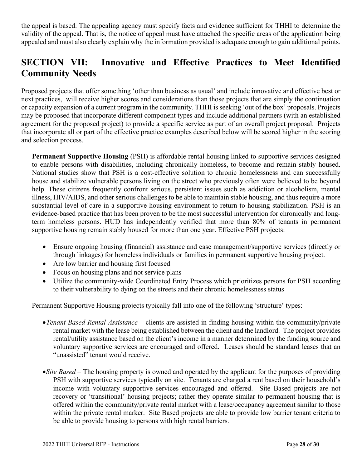the appeal is based. The appealing agency must specify facts and evidence sufficient for THHI to determine the validity of the appeal. That is, the notice of appeal must have attached the specific areas of the application being appealed and must also clearly explain why the information provided is adequate enough to gain additional points.

## **SECTION VII: Innovative and Effective Practices to Meet Identified Community Needs**

Proposed projects that offer something 'other than business as usual' and include innovative and effective best or next practices, will receive higher scores and considerations than those projects that are simply the continuation or capacity expansion of a current program in the community. THHI is seeking 'out of the box' proposals. Projects may be proposed that incorporate different component types and include additional partners (with an established agreement for the proposed project) to provide a specific service as part of an overall project proposal. Projects that incorporate all or part of the effective practice examples described below will be scored higher in the scoring and selection process.

**Permanent Supportive Housing** (PSH) is affordable rental housing linked to supportive services designed to enable persons with disabilities, including chronically homeless, to become and remain stably housed. National studies show that PSH is a cost-effective solution to chronic homelessness and can successfully house and stabilize vulnerable persons living on the street who previously often were believed to be beyond help. These citizens frequently confront serious, persistent issues such as addiction or alcoholism, mental illness, HIV/AIDS, and other serious challenges to be able to maintain stable housing, and thus require a more substantial level of care in a supportive housing environment to return to housing stabilization. PSH is an evidence-based practice that has been proven to be the most successful intervention for chronically and longterm homeless persons. HUD has independently verified that more than 80% of tenants in permanent supportive housing remain stably housed for more than one year. Effective PSH projects:

- Ensure ongoing housing (financial) assistance and case management/supportive services (directly or through linkages) for homeless individuals or families in permanent supportive housing project.
- Are low barrier and housing first focused
- Focus on housing plans and not service plans
- Utilize the community-wide Coordinated Entry Process which prioritizes persons for PSH according to their vulnerability to dying on the streets and their chronic homelessness status

Permanent Supportive Housing projects typically fall into one of the following 'structure' types:

- *Tenant Based Rental Assistance* clients are assisted in finding housing within the community/private rental market with the lease being established between the client and the landlord. The project provides rental/utility assistance based on the client's income in a manner determined by the funding source and voluntary supportive services are encouraged and offered. Leases should be standard leases that an "unassisted" tenant would receive.
- *Site Based* The housing property is owned and operated by the applicant for the purposes of providing PSH with supportive services typically on site. Tenants are charged a rent based on their household's income with voluntary supportive services encouraged and offered. Site Based projects are not recovery or 'transitional' housing projects; rather they operate similar to permanent housing that is offered within the community/private rental market with a lease/occupancy agreement similar to those within the private rental marker. Site Based projects are able to provide low barrier tenant criteria to be able to provide housing to persons with high rental barriers.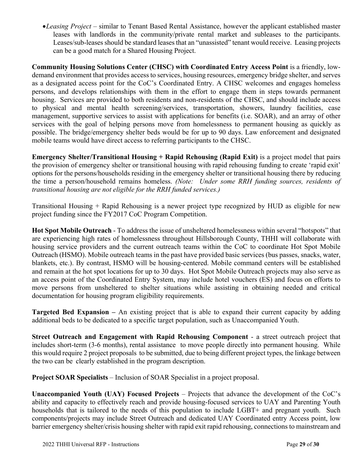*Leasing Project* – similar to Tenant Based Rental Assistance, however the applicant established master leases with landlords in the community/private rental market and subleases to the participants. Leases/sub-leases should be standard leases that an "unassisted" tenant would receive. Leasing projects can be a good match for a Shared Housing Project.

**Community Housing Solutions Center (CHSC) with Coordinated Entry Access Point** is a friendly, lowdemand environment that provides access to services, housing resources, emergency bridge shelter, and serves as a designated access point for the CoC's Coordinated Entry. A CHSC welcomes and engages homeless persons, and develops relationships with them in the effort to engage them in steps towards permanent housing. Services are provided to both residents and non-residents of the CHSC, and should include access to physical and mental health screening/services, transportation, showers, laundry facilities, case management, supportive services to assist with applications for benefits (i.e. SOAR), and an array of other services with the goal of helping persons move from homelessness to permanent housing as quickly as possible. The bridge/emergency shelter beds would be for up to 90 days. Law enforcement and designated mobile teams would have direct access to referring participants to the CHSC.

**Emergency Shelter/Transitional Housing + Rapid Rehousing (Rapid Exit)** is a project model that pairs the provision of emergency shelter or transitional housing with rapid rehousing funding to create 'rapid exit' options for the persons/households residing in the emergency shelter or transitional housing there by reducing the time a person/household remains homeless. *(Note: Under some RRH funding sources, residents of transitional housing are not eligible for the RRH funded services.)*

Transitional Housing + Rapid Rehousing is a newer project type recognized by HUD as eligible for new project funding since the FY2017 CoC Program Competition.

**Hot Spot Mobile Outreach** - To address the issue of unsheltered homelessness within several "hotspots" that are experiencing high rates of homelessness throughout Hillsborough County, THHI will collaborate with housing service providers and the current outreach teams within the CoC to coordinate Hot Spot Mobile Outreach (HSMO). Mobile outreach teams in the past have provided basic services (bus passes, snacks, water, blankets, etc.). By contrast, HSMO will be housing-centered. Mobile command centers will be established and remain at the hot spot locations for up to 30 days. Hot Spot Mobile Outreach projects may also serve as an access point of the Coordinated Entry System, may include hotel vouchers (ES) and focus on efforts to move persons from unsheltered to shelter situations while assisting in obtaining needed and critical documentation for housing program eligibility requirements.

**Targeted Bed Expansion –** An existing project that is able to expand their current capacity by adding additional beds to be dedicated to a specific target population, such as Unaccompanied Youth.

**Street Outreach and Engagement with Rapid Rehousing Component** - a street outreach project that includes short-term (3-6 months), rental assistance to move people directly into permanent housing. While this would require 2 project proposals to be submitted, due to being different project types, the linkage between the two can be clearly established in the program description.

**Project SOAR Specialists** – Inclusion of SOAR Specialist in a project proposal.

**Unaccompanied Youth (UAY) Focused Projects** – Projects that advance the development of the CoC's ability and capacity to effectively reach and provide housing-focused services to UAY and Parenting Youth households that is tailored to the needs of this population to include LGBT+ and pregnant youth. Such components/projects may include Street Outreach and dedicated UAY Coordinated entry Access point, low barrier emergency shelter/crisis housing shelter with rapid exit rapid rehousing, connections to mainstream and